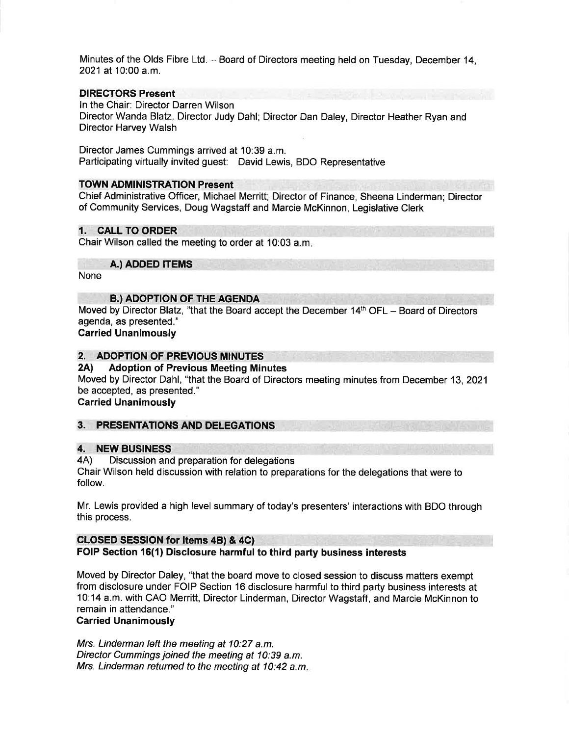Minutes of the Olds Fibre Ltd. - Board of Directors meeting held on Tuesday, December 14, 2021 at 10:00 a.m.

### DIRECTORS Present

ln the Chair: Director Darren Wilson

Director Wanda Blatz, Director Judy Dahl; Director Dan Daley, Director Heather Ryan and Director Harvey Walsh

Director James Cummings arrived at 10:39 a.m. Participating virtually invited guest: David Lewis, BDO Representative

### TOWN ADMINISTRATION Present

Chief Administrative Officer, Michael Merritt; Director of Finance, Sheena Linderman; Director of Community Services, Doug Wagstaff and Marcie McKinnon, Legislative Clerk

## 1. CALL TO ORDER

Chair Wilson called the meeting to order at 10:03 a.m

#### A.) ADDED ITEMS

None

**B.) ADOPTION OF THE AGENDA** 

Moved by Director Blatz, "that the Board accept the December 14<sup>th</sup> OFL - Board of Directors agenda, as presented."

Carried Unanimously

# 2. ADOPTION OF PREVIOUS MINUTES<br>2A) Adoption of Previous Meeting Minutes

Moved by Director Dahl, "that the Board of Directors meeting minutes from December 13,2021 be accepted, as presented."

Carried Unanimously

#### 3. PRESENTATIONS AND DELEGATIONS

4. NEW BUSINESS<br>4A) Discussion and preparation for delegations Chair Wilson held discussion with relation to preparations for the delegations that were to follow.

Mr. Lewis provided a high level summary of today's presenters' interactions with BDO through this process.

#### CLOSED SESSION for items 48) & 4C) FOIP Section 15(1) Disclosure harmful to third party business interests

Moved by Director Daley, "that the board move to closed session to discuss matters exempt from disclosure under FOIP Section 16 disclosure harmfulto third party business interests at 10:14 a.m. with CAO Merritt, Director Linderman, Director Wagstaff, and Marcie McKinnon to remain in attendance."

#### Carried Unanimously

Mrs. Linderman left the meeting at 10:27 a.m. Director Cummings joined the meeting at 10:39 a.m. Mrs. Linderman returned to the meeting at 10:42 a.m.